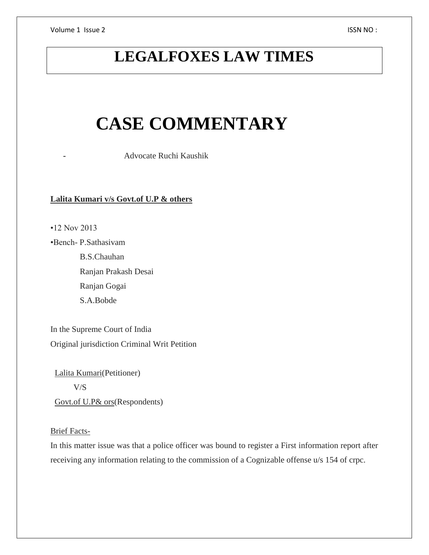Volume 1 Issue 2 ISSN NO :

# **LEGALFOXES LAW TIMES**

# **CASE COMMENTARY**

- Advocate Ruchi Kaushik

# **Lalita Kumari v/s Govt.of U.P & others**

•12 Nov 2013

•Bench- P.Sathasivam B.S.Chauhan Ranjan Prakash Desai Ranjan Gogai S.A.Bobde

In the Supreme Court of India Original jurisdiction Criminal Writ Petition

 Lalita Kumari(Petitioner) V/S Govt.of U.P& ors(Respondents)

# Brief Facts-

In this matter issue was that a police officer was bound to register a First information report after receiving any information relating to the commission of a Cognizable offense u/s 154 of crpc.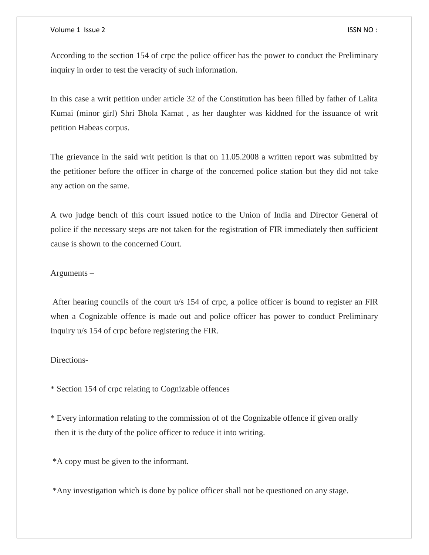#### Volume 1 Issue 2 ISSN NO :

According to the section 154 of crpc the police officer has the power to conduct the Preliminary inquiry in order to test the veracity of such information.

In this case a writ petition under article 32 of the Constitution has been filled by father of Lalita Kumai (minor girl) Shri Bhola Kamat , as her daughter was kiddned for the issuance of writ petition Habeas corpus.

The grievance in the said writ petition is that on 11.05.2008 a written report was submitted by the petitioner before the officer in charge of the concerned police station but they did not take any action on the same.

A two judge bench of this court issued notice to the Union of India and Director General of police if the necessary steps are not taken for the registration of FIR immediately then sufficient cause is shown to the concerned Court.

# Arguments –

After hearing councils of the court u/s 154 of crpc, a police officer is bound to register an FIR when a Cognizable offence is made out and police officer has power to conduct Preliminary Inquiry u/s 154 of crpc before registering the FIR.

# Directions-

\* Section 154 of crpc relating to Cognizable offences

\* Every information relating to the commission of of the Cognizable offence if given orally then it is the duty of the police officer to reduce it into writing.

\*A copy must be given to the informant.

\*Any investigation which is done by police officer shall not be questioned on any stage.